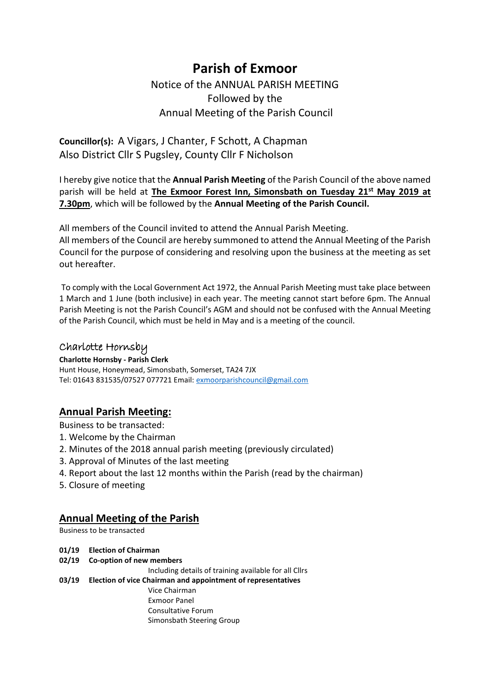# **Parish of Exmoor**

# Notice of the ANNUAL PARISH MEETING Followed by the Annual Meeting of the Parish Council

**Councillor(s):** A Vigars, J Chanter, F Schott, A Chapman Also District Cllr S Pugsley, County Cllr F Nicholson

I hereby give notice that the **Annual Parish Meeting** of the Parish Council of the above named parish will be held at **The Exmoor Forest Inn, Simonsbath on Tuesday 21st May 2019 at 7.30pm**, which will be followed by the **Annual Meeting of the Parish Council.**

All members of the Council invited to attend the Annual Parish Meeting.

All members of the Council are hereby summoned to attend the Annual Meeting of the Parish Council for the purpose of considering and resolving upon the business at the meeting as set out hereafter.

To comply with the Local Government Act 1972, the Annual Parish Meeting must take place between 1 March and 1 June (both inclusive) in each year. The meeting cannot start before 6pm. The Annual Parish Meeting is not the Parish Council's AGM and should not be confused with the Annual Meeting of the Parish Council, which must be held in May and is a meeting of the council.

## Charlotte Hornsby

**Charlotte Hornsby - Parish Clerk** Hunt House, Honeymead, Simonsbath, Somerset, TA24 7JX Tel: 01643 831535/07527 077721 Email[: exmoorparishcouncil@gmail.com](mailto:exmoorparishcouncil@gmail.com)

# **Annual Parish Meeting:**

Business to be transacted:

- 1. Welcome by the Chairman
- 2. Minutes of the 2018 annual parish meeting (previously circulated)
- 3. Approval of Minutes of the last meeting
- 4. Report about the last 12 months within the Parish (read by the chairman)
- 5. Closure of meeting

# **Annual Meeting of the Parish**

Business to be transacted

- **01/19 Election of Chairman**
- **02/19 Co-option of new members**

Including details of training available for all Cllrs

**03/19 Election of vice Chairman and appointment of representatives**

Vice Chairman Exmoor Panel Consultative Forum Simonsbath Steering Group